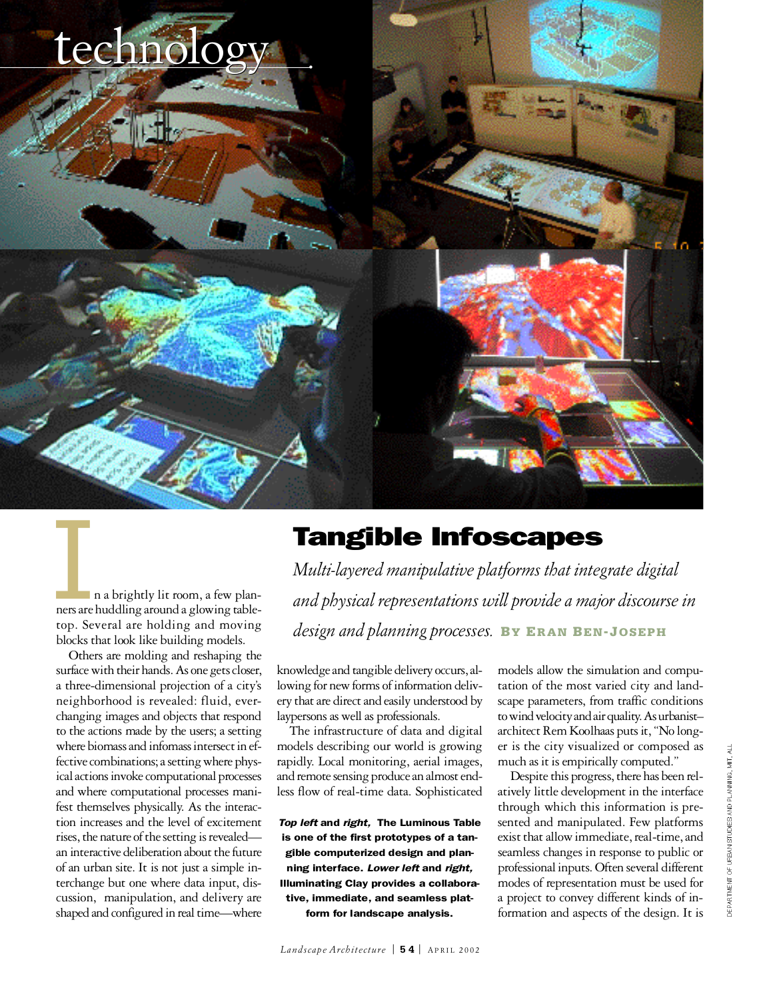

In a brightly lit room, a few plan-ners are huddling around a glowing tabletop. Several are holding and moving blocks that look like building models.

Others are molding and reshaping the surface with their hands. As one gets closer, a three-dimensional projection of a city's neighborhood is revealed: fluid, everchanging images and objects that respond to the actions made by the users; a setting where biomass and infomass intersect in effective combinations; a setting where physical actions invoke computational processes and where computational processes manifest themselves physically. As the interaction increases and the level of excitement rises, the nature of the setting is revealedan interactive deliberation about the future of an urban site. It is not just a simple interchange but one where data input, discussion, manipulation, and delivery are shaped and configured in real time—where

# Tangible Infoscapes

*Multi-layered manipulative platforms that integrate digital* and physical representations will provide a major discourse in *design and planning processes.* **BY ER A N BE N- JO S E P H**

knowledge and tangible delivery occurs, allowing for new forms of information delivery that are direct and easily understood by laypersons as well as professionals.

The infrastructure of data and digital models describing our world is growing rapidly. Local monitoring, aerial images, and remote sensing produce an almost endless flow of real-time data. Sophisticated

**Top left and right, The Luminous Table** is one of the first prototypes of a tangible computerized design and planning interface. *Lower left* and *right*, Illuminating Clay provides a collaborative, immediate, and seamless platform for landscape analysis.

models allow the simulation and computation of the most varied city and landscape parameters, from traffic conditions to wind velocity and air quality. As urbanist– architect Rem Koolhaas puts it, "No longer is the city visualized or composed as much as it is empirically computed."

Despite this progress, there has been relatively little development in the interface through which this information is presented and manipulated. Few platforms exist that allow immediate, real-time, and seamless changes in response to public or professional inputs. Often several different modes of representation must be used for a project to convey different kinds of information and aspects of the design. It is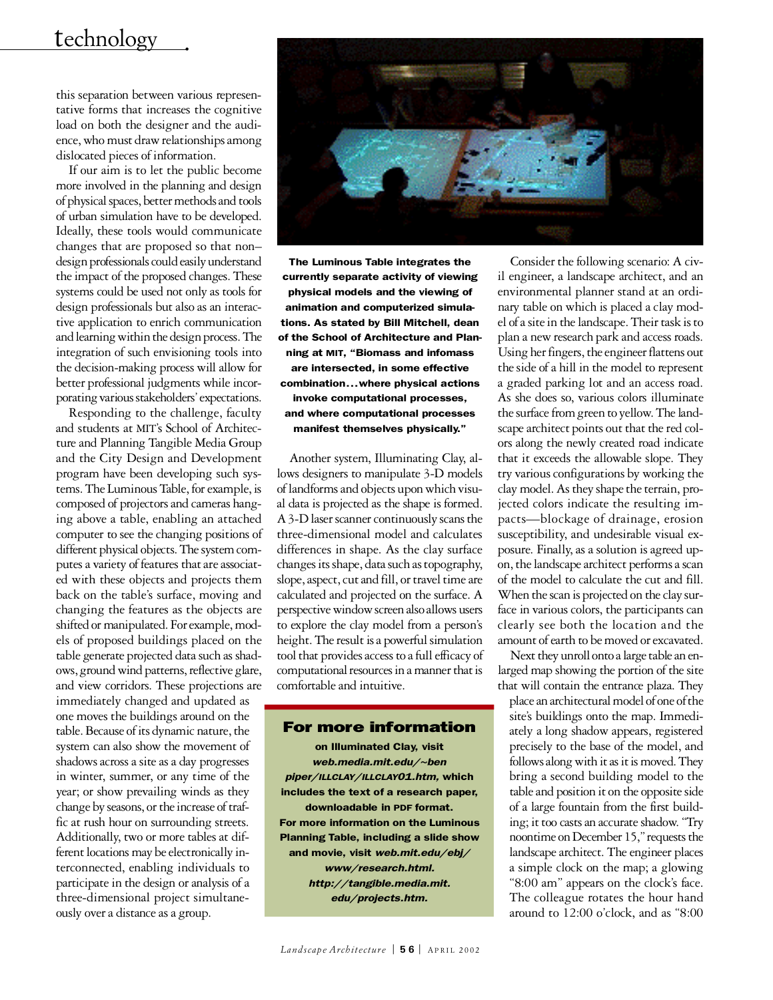### technology

this separation between various representative forms that increases the cognitive load on both the designer and the audience, who must draw relationships among dislocated pieces of information.

If our aim is to let the public become more involved in the planning and design of physical spaces, better methods and tools of urban simulation have to be developed. I deally, these tools would communicate changes that are proposed so that non– design professionals could easily understand the impact of the proposed changes. These systems could be used not only as tools for design professionals but also as an interactive application to enrich communication and learning within the design process. The integration of such envisioning tools into the decision-making process will allow for better professional judgments while incorporating various stakeholders' expectations.

Responding to the challenge, faculty and students at MIT's School of Architecture and Planning Tangible Media Group and the City Design and Development p rogram have been developing such systems. The Luminous Table, for example, is composed of projectors and cameras hanging above a table, enabling an attached computer to see the changing positions of different physical objects. The system computes a variety of features that are associated with these objects and projects them back on the table's surface, moving and changing the features as the objects are shifted or manipulated. For example, models of proposed buildings placed on the table generate projected data such as shadows, ground wind patterns, reflective glare, and view corridors. These projections are

immediately changed and updated as one moves the buildings around on the table. Because of its dynamic nature, the system can also show the movement of shadows across a site as a day progresses in winter, summer, or any time of the year; or show prevailing winds as they change by seasons, or the increase of traffic at rush hour on surrounding streets. Additionally, two or more tables at different locations may be electronically interconnected, enabling individuals to participate in the design or analysis of a three-dimensional project simultaneously over a distance as a group.



The Luminous Table integrates the currently separate activity of viewing physical models and the viewing of animation and computerized simulations. As stated by Bill Mitchell, dean of the School of Architecture and Planning at MIT, "Biomass and infomass are intersected, in some effective combination...where physical actions invoke computational processes, and where computational processes manifest themselves physically. "

Another system, Illuminating Clay, allows designers to manipulate 3-D models of landforms and objects upon which visual data is projected as the shape is formed. A 3-D laser scanner continuously scans the three-dimensional model and calculates differences in shape. As the clay surface changes its shape, data such as topography, slope, aspect, cut and fill, or travel time are calculated and projected on the surface. A perspective window screen also allows users to explore the clay model from a person's height. The result is a powerful simulation tool that provides access to a full efficacy of computational resources in a manner that is comfortable and intuitive.

### For more information

on Illuminated Clay, visit *w e b . m e d i a . m i t . e d u / ~ b e n* piper/ILLCLAY/ILLCLAY01.htm, which includes the text of a research paper, downloadable in PDF format. For more information on the Luminous Planning Table, including a slide show and movie, visit *web.mit.edu/ebj/ w w w / re s e a rc h . h t m l . h t t p : / / t a n g i b l e . m e d i a . m i t .*  $edu/projects.htm.$ 

Consider the following scenario: A civil engineer, a landscape architect, and an environmental planner stand at an ordinary table on which is placed a clay model of a site in the landscape. Their task is to plan a new research park and access roads. Using her fingers, the engineer flattens out the side of a hill in the model to represent a graded parking lot and an access road. As she does so, various colors illuminate the surface from green to yellow. The landscape architect points out that the red colors along the newly created road indicate that it exceeds the allowable slope. They try various configurations by working the clay model. As they shape the terrain, projected colors indicate the resulting impacts—blockage of drainage, erosion susceptibility, and undesirable visual exposure. Finally, as a solution is agreed upon, the landscape architect performs a scan of the model to calculate the cut and fill. When the scan is projected on the clay surface in various colors, the participants can clearly see both the location and the amount of earth to be moved or excavated.

Next they unroll onto a large table an enlarged map showing the portion of the site that will contain the entrance plaza. They

place an architectural model of one of the site's buildings onto the map. Immediately a long shadow appears, registered p recisely to the base of the model, and follows along with it as it is moved. They bring a second building model to the table and position it on the opposite side of a large fountain from the first building; it too casts an accurate shadow. "Try noontime on December 15," requests the landscape architect. The engineer places a simple clock on the map; a glowing "8:00 am" appears on the clock's face. The colleague rotates the hour hand around to 12:00 o'clock, and as "8:00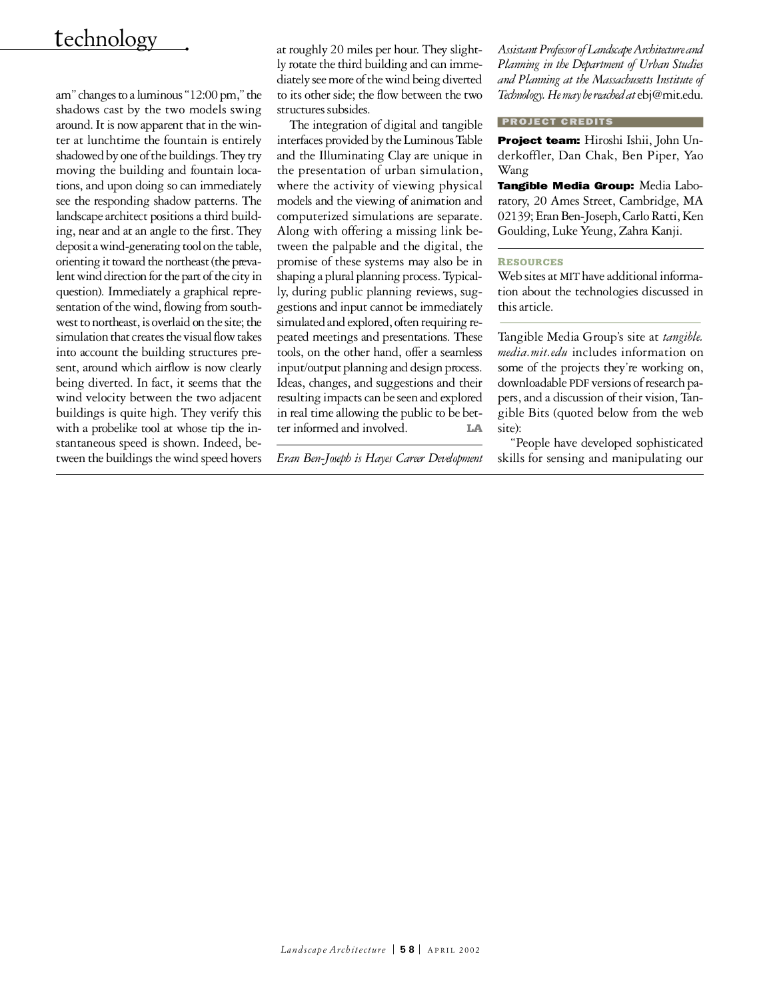## technology

am" changes to a luminous "12:00 pm," the shadows cast by the two models swing around. It is now apparent that in the winter at lunchtime the fountain is entirely shadowed by one of the buildings. They try moving the building and fountain locations, and upon doing so can immediately see the responding shadow patterns. The landscape architect positions a third building, near and at an angle to the first. They deposit a wind-generating tool on the table, orienting it toward the northeast (the prevalent wind direction for the part of the city in question). Immediately a graphical representation of the wind, flowing from southwest to northeast, is overlaid on the site; the simulation that creates the visual flow takes into account the building structures present, around which airflow is now clearly being diverted. In fact, it seems that the wind velocity between the two adjacent buildings is quite high. They verify this with a probelike tool at whose tip the instantaneous speed is shown. Indeed, between the buildings the wind speed hovers at roughly 20 miles per hour. They slightly rotate the third building and can immediately see more of the wind being diverted to its other side; the flow between the two structures subsides.

The integration of digital and tangible interfaces provided by the Luminous Table and the Illuminating Clay are unique in the presentation of urban simulation, where the activity of viewing physical models and the viewing of animation and computerized simulations are separate. Along with offering a missing link between the palpable and the digital, the promise of these systems may also be in shaping a plural planning process. Typically, during public planning reviews, suggestions and input cannot be immediately simulated and explored, often requiring repeated meetings and presentations. These tools, on the other hand, offer a seamless input/output planning and design process. Ideas, changes, and suggestions and their resulting impacts can be seen and explored in real time allowing the public to be better informed and involved **LA** 

*Eran Ben-Joseph is Hayes Career Development*

*Assistant Professor of Landscape Arc h i t e c t u re and Planning in the Department of Urban Studies and Planning at the Massachusetts Institute of Technology. He may be reached at* ebj@mit.edu.

#### PROJECT CREDITS

Project team: Hiroshi Ishii, John Underkoffler, Dan Chak, Ben Piper, Yao Wang

Tangible Media Group: Media Laboratory, 20 Ames Street, Cambridge, MA 02139; Eran Ben-Joseph, Carlo Ratti, Ken Goulding, Luke Yeung, Zahra Kanji.

#### **RE S O U R C E S**

Web sites at MIT have additional information about the technologies discussed in this article.

Tangible Media Group's site at *tangible*. *media.mit.edu* includes information on some of the projects they're working on, downloadable PDF versions of research papers, and a discussion of their vision, Tangible Bits (quoted below from the web site):

"People have developed sophisticated skills for sensing and manipulating our